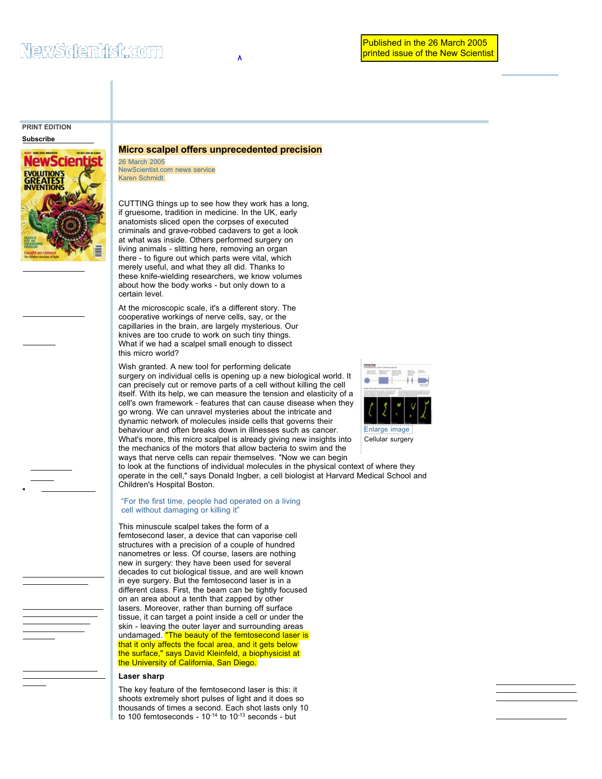# **PRINT EDITION**

**Subscribe**



### **Micro scalpel offers unprecedented precision**

26 March 2005 NewScientist.com news service Karen Schmidt

CUTTING things up to see how they work has a long, if gruesome, tradition in medicine. In the UK, early anatomists sliced open the corpses of executed criminals and grave-robbed cadavers to get a look at what was inside. Others performed surgery on living animals - slitting here, removing an organ there - to figure out which parts were vital, which merely useful, and what they all did. Thanks to these knife-wielding researchers, we know volumes about how the body works - but only down to a certain level.

At the microscopic scale, it's a different story. The cooperative workings of nerve cells, say, or the capillaries in the brain, are largely mysterious. Our knives are too crude to work on such tiny things. What if we had a scalpel small enough to dissect this micro world?

Wish granted. A new tool for performing delicate surgery on individual cells is opening up a new biological world. It can precisely cut or remove parts of a cell without killing the cell itself. With its help, we can measure the tension and elasticity of a cell's own framework - features that can cause disease when they go wrong. We can unravel mysteries about the intricate and dynamic network of molecules inside cells that governs their behaviour and often breaks down in illnesses such as cancer. What's more, this micro scalpel is already giving new insights into the mechanics of the motors that allow bacteria to swim and the ways that nerve cells can repair themselves. "Now we can begin to look at the functions of individual molecules in the physical context of where they operate in the cell," says Donald Ingber, a cell biologist at Harvard Medical School and

#### "For the first time, people had operated on a living cell without damaging or killing it"

Children's Hospital Boston.

This minuscule scalpel takes the form of a femtosecond laser, a device that can vaporise cell structures with a precision of a couple of hundred nanometres or less. Of course, lasers are nothing new in surgery: they have been used for several decades to cut biological tissue, and are well known in eye surgery. But the femtosecond laser is in a different class. First, the beam can be tightly focused on an area about a tenth that zapped by other lasers. Moreover, rather than burning off surface tissue, it can target a point inside a cell or under the skin - leaving the outer layer and surrounding areas undamaged. **"The beauty of the femtosecond laser is** that it only affects the focal area, and it gets below the surface," says David Kleinfeld, a biophysicist at the University of California, San Diego.

#### **Laser sharp**

The key feature of the femtosecond laser is this: it shoots extremely short pulses of light and it does so thousands of times a second. Each shot lasts only 10 to 100 femtoseconds -  $10^{-14}$  to  $10^{-13}$  seconds - but



Cellular surgery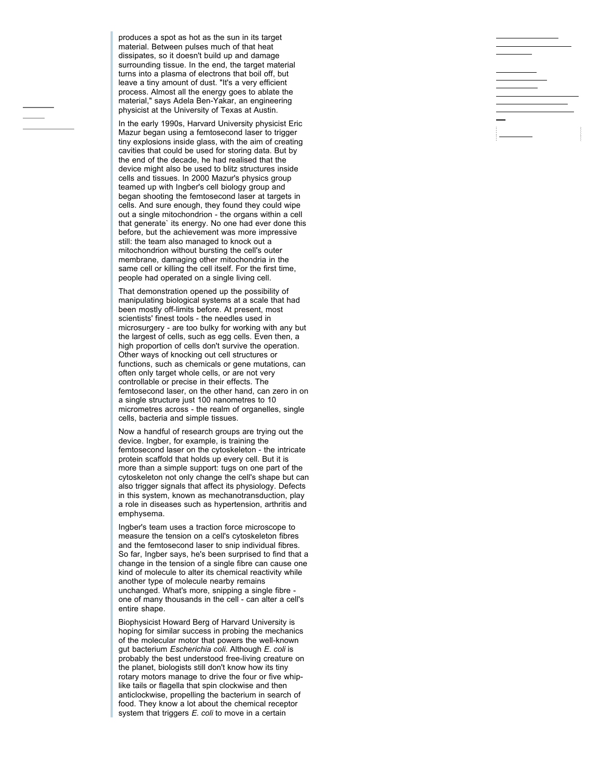produces a spot as hot as the sun in its target material. Between pulses much of that heat dissipates, so it doesn't build up and damage surrounding tissue. In the end, the target material turns into a plasma of electrons that boil off, but leave a tiny amount of dust. "It's a very efficient process. Almost all the energy goes to ablate the material," says Adela Ben-Yakar, an engineering physicist at the University of Texas at Austin.

In the early 1990s, Harvard University physicist Eric Mazur began using a femtosecond laser to trigger tiny explosions inside glass, with the aim of creating cavities that could be used for storing data. But by the end of the decade, he had realised that the device might also be used to blitz structures inside cells and tissues. In 2000 Mazur's physics group teamed up with Ingber's cell biology group and began shooting the femtosecond laser at targets in cells. And sure enough, they found they could wipe out a single mitochondrion - the organs within a cell that generate` its energy. No one had ever done this before, but the achievement was more impressive still: the team also managed to knock out a mitochondrion without bursting the cell's outer membrane, damaging other mitochondria in the same cell or killing the cell itself. For the first time, people had operated on a single living cell.

That demonstration opened up the possibility of manipulating biological systems at a scale that had been mostly off-limits before. At present, most scientists' finest tools - the needles used in microsurgery - are too bulky for working with any but the largest of cells, such as egg cells. Even then, a high proportion of cells don't survive the operation. Other ways of knocking out cell structures or functions, such as chemicals or gene mutations, can often only target whole cells, or are not very controllable or precise in their effects. The femtosecond laser, on the other hand, can zero in on a single structure just 100 nanometres to 10 micrometres across - the realm of organelles, single cells, bacteria and simple tissues.

Now a handful of research groups are trying out the device. Ingber, for example, is training the femtosecond laser on the cytoskeleton - the intricate protein scaffold that holds up every cell. But it is more than a simple support: tugs on one part of the cytoskeleton not only change the cell's shape but can also trigger signals that affect its physiology. Defects in this system, known as mechanotransduction, play a role in diseases such as hypertension, arthritis and emphysema.

Ingber's team uses a traction force microscope to measure the tension on a cell's cytoskeleton fibres and the femtosecond laser to snip individual fibres. So far, Ingber says, he's been surprised to find that a change in the tension of a single fibre can cause one kind of molecule to alter its chemical reactivity while another type of molecule nearby remains unchanged. What's more, snipping a single fibre one of many thousands in the cell - can alter a cell's entire shape.

Biophysicist Howard Berg of Harvard University is hoping for similar success in probing the mechanics of the molecular motor that powers the well-known gut bacterium Escherichia coli. Although E. coli is probably the best understood free-living creature on the planet, biologists still don't know how its tiny rotary motors manage to drive the four or five whiplike tails or flagella that spin clockwise and then anticlockwise, propelling the bacterium in search of food. They know a lot about the chemical receptor system that triggers E. coli to move in a certain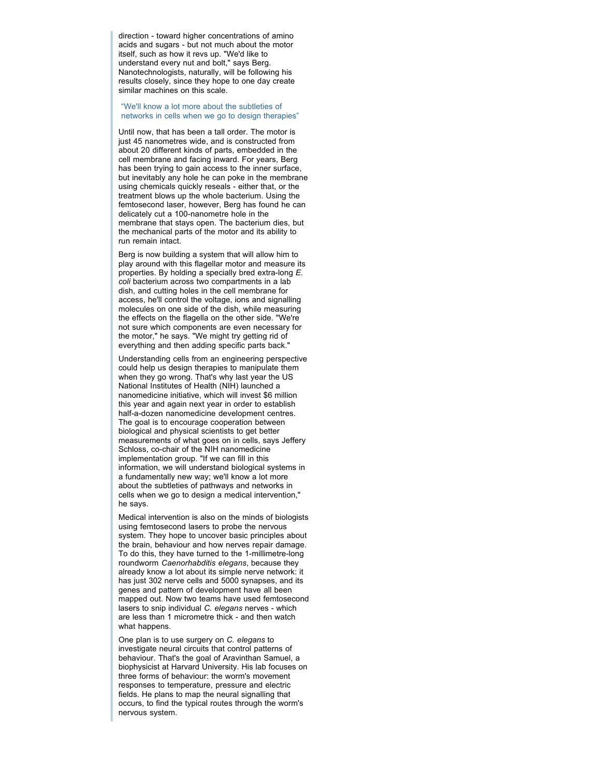direction - toward higher concentrations of amino acids and sugars - but not much about the motor itself, such as how it revs up. "We'd like to understand every nut and bolt," says Berg. Nanotechnologists, naturally, will be following his results closely, since they hope to one day create similar machines on this scale.

"We'll know a lot more about the subtleties of networks in cells when we go to design therapies"

Until now, that has been a tall order. The motor is just 45 nanometres wide, and is constructed from about 20 different kinds of parts, embedded in the cell membrane and facing inward. For years, Berg has been trying to gain access to the inner surface, but inevitably any hole he can poke in the membrane using chemicals quickly reseals - either that, or the treatment blows up the whole bacterium. Using the femtosecond laser, however, Berg has found he can delicately cut a 100-nanometre hole in the membrane that stays open. The bacterium dies, but the mechanical parts of the motor and its ability to run remain intact.

Berg is now building a system that will allow him to play around with this flagellar motor and measure its properties. By holding a specially bred extra-long *E.*  coli bacterium across two compartments in a lab dish, and cutting holes in the cell membrane for access, he'll control the voltage, ions and signalling molecules on one side of the dish, while measuring the effects on the flagella on the other side. "We're not sure which components are even necessary for the motor," he says. "We might try getting rid of everything and then adding specific parts back."

Understanding cells from an engineering perspective could help us design therapies to manipulate them when they go wrong. That's why last year the US National Institutes of Health (NIH) launched a nanomedicine initiative, which will invest \$6 million this year and again next year in order to establish half-a-dozen nanomedicine development centres. The goal is to encourage cooperation between biological and physical scientists to get better measurements of what goes on in cells, says Jeffery Schloss, co-chair of the NIH nanomedicine implementation group. "If we can fill in this information, we will understand biological systems in a fundamentally new way; we'll know a lot more about the subtleties of pathways and networks in cells when we go to design a medical intervention," he says.

Medical intervention is also on the minds of biologists using femtosecond lasers to probe the nervous system. They hope to uncover basic principles about the brain, behaviour and how nerves repair damage. To do this, they have turned to the 1-millimetre-long roundworm Caenorhabditis elegans, because they already know a lot about its simple nerve network: it has just 302 nerve cells and 5000 synapses, and its genes and pattern of development have all been mapped out. Now two teams have used femtosecond lasers to snip individual C. elegans nerves - which are less than 1 micrometre thick - and then watch what happens.

One plan is to use surgery on C. elegans to investigate neural circuits that control patterns of behaviour. That's the goal of Aravinthan Samuel, a biophysicist at Harvard University. His lab focuses on three forms of behaviour: the worm's movement responses to temperature, pressure and electric fields. He plans to map the neural signalling that occurs, to find the typical routes through the worm's nervous system.